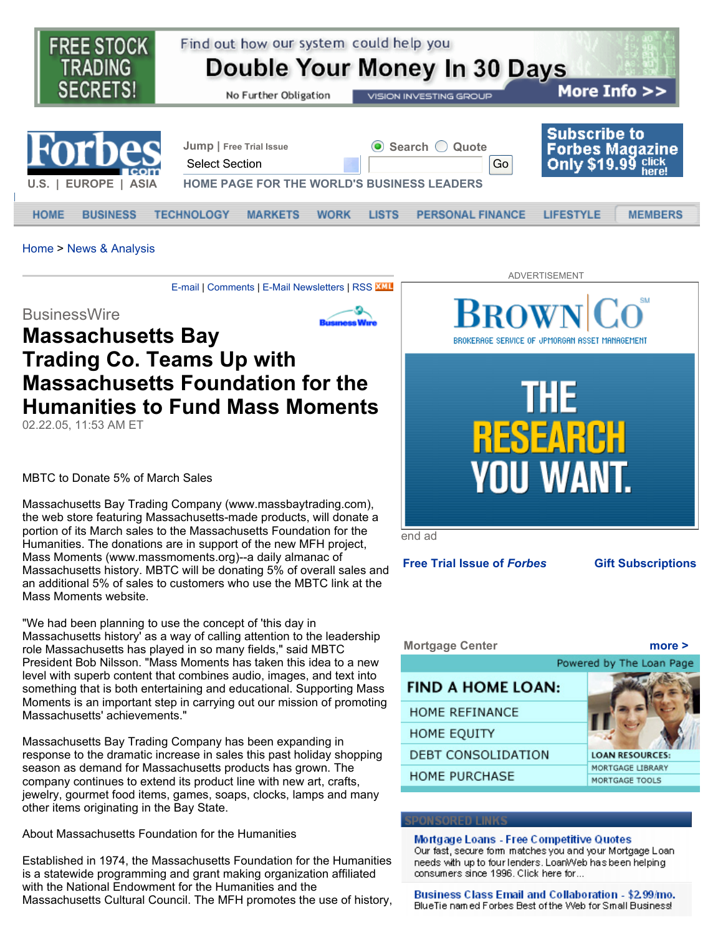

Home > News & Analysis

E-mail | Comments | E-Mail Newsletters | RSS KUL

**BusinessWire** 

# **Massachusetts Bay Trading Co. Teams Up with Massachusetts Foundation for the Humanities to Fund Mass Moments**

02.22.05, 11:53 AM ET

MBTC to Donate 5% of March Sales

Massachusetts Bay Trading Company (www.massbaytrading.com), the web store featuring Massachusetts-made products, will donate a portion of its March sales to the Massachusetts Foundation for the Humanities. The donations are in support of the new MFH project, Mass Moments (www.massmoments.org)--a daily almanac of Massachusetts history. MBTC will be donating 5% of overall sales and an additional 5% of sales to customers who use the MBTC link at the Mass Moments website.

"We had been planning to use the concept of 'this day in Massachusetts history' as a way of calling attention to the leadership role Massachusetts has played in so many fields," said MBTC President Bob Nilsson. "Mass Moments has taken this idea to a new level with superb content that combines audio, images, and text into something that is both entertaining and educational. Supporting Mass Moments is an important step in carrying out our mission of promoting Massachusetts' achievements."

Massachusetts Bay Trading Company has been expanding in response to the dramatic increase in sales this past holiday shopping season as demand for Massachusetts products has grown. The company continues to extend its product line with new art, crafts, jewelry, gourmet food items, games, soaps, clocks, lamps and many other items originating in the Bay State.

About Massachusetts Foundation for the Humanities

Established in 1974, the Massachusetts Foundation for the Humanities is a statewide programming and grant making organization affiliated with the National Endowment for the Humanities and the Massachusetts Cultural Council. The MFH promotes the use of history,



**Free Trial Issue of** *Forbes* **Gift Subscriptions**



### Mortgage Loans - Free Competitive Quotes Our fast, secure form matches you and your Mortgage Loan needs with up to four lenders. LoanWeb has been helping consumers since 1996. Click here for...

Business Class Email and Collaboration - \$2.99/mo. BlueTie named Forbes Best of the Web for Small Business!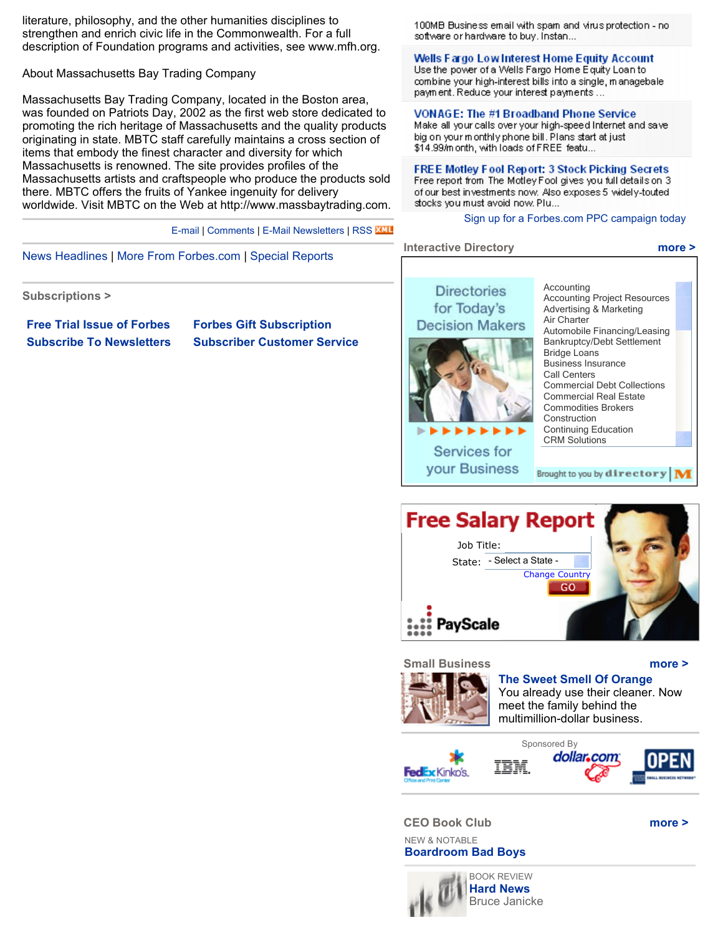literature, philosophy, and the other humanities disciplines to strengthen and enrich civic life in the Commonwealth. For a full description of Foundation programs and activities, see www.mfh.org.

About Massachusetts Bay Trading Company

Massachusetts Bay Trading Company, located in the Boston area, was founded on Patriots Day, 2002 as the first web store dedicated to promoting the rich heritage of Massachusetts and the quality products originating in state. MBTC staff carefully maintains a cross section of items that embody the finest character and diversity for which Massachusetts is renowned. The site provides profiles of the Massachusetts artists and craftspeople who produce the products sold there. MBTC offers the fruits of Yankee ingenuity for delivery worldwide. Visit MBTC on the Web at http://www.massbaytrading.com.

E-mail | Comments | E-Mail Newsletters | RSS KML

News Headlines | More From Forbes.com | Special Reports

**Subscriptions >**

**Free Trial Issue of Forbes Forbes Gift Subscription**

**Subscribe To Newsletters Subscriber Customer Service**

100MB Business email with spam and virus protection - no software or hardware to buy. Instan...

## Wells Fargo Low Interest Home Equity Account

Use the power of a Wells Fargo Home Equity Loan to combine your high-interest bills into a single, managebale payment. Reduce your interest payments ...

# **VONAGE: The #1 Broadband Phone Service**

Make all your calls over your high-speed Internet and save big on your monthly phone bill. Plans start at just \$14.99/m onth, with loads of FREE featu...

FREE Motley Fool Report: 3 Stock Picking Secrets Free report from The Motley Fool gives you full details on 3 of our best investments now. Also exposes 5 widely-touted stocks you must avoid now. Plu...

**Interactive Directory more >**

Sign up for a Forbes.com PPC campaign today

#### Accounting **Directories** Accounting Project Resources for Today's Advertising & Marketing Air Charter **Decision Makers** Automobile Financing/Leasing Bankruptcy/Debt Settlement Bridge Loans Business Insurance Call Centers Commercial Debt Collections Commercial Real Estate Commodities Brokers Construction Continuing Education CRM Solutions Services for your Business Brought to you by  $\operatorname{div}\operatorname{ector} \mathbf{y}|\mathbf{M}$





**The Sweet Smell Of Orange** You already use their cleaner. Now meet the family behind the multimillion-dollar business.







**CEO Book Club more >**

NEW & NOTABLE **Boardroom Bad Boys**



**Hard News**  Bruce Janicke